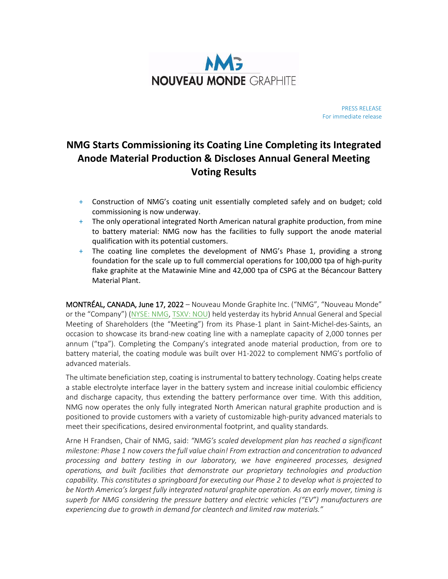

PRESS RELEASE For immediate release

# **NMG Starts Commissioning its Coating Line Completing its Integrated Anode Material Production & Discloses Annual General Meeting Voting Results**

- + Construction of NMG's coating unit essentially completed safely and on budget; cold commissioning is now underway.
- + The only operational integrated North American natural graphite production, from mine to battery material: NMG now has the facilities to fully support the anode material qualification with its potential customers.
- + The coating line completes the development of NMG's Phase 1, providing a strong foundation for the scale up to full commercial operations for 100,000 tpa of high-purity flake graphite at the Matawinie Mine and 42,000 tpa of CSPG at the Bécancour Battery Material Plant.

MONTRÉAL, CANADA, June 17, 2022 – Nouveau Monde Graphite Inc. ("NMG", "Nouveau Monde" or the "Company") [\(NYSE: NMG,](https://www.nyse.com/quote/XNYS:NMG) [TSXV: NOU\)](https://money.tmx.com/fr/quote/NOU) held yesterday its hybrid Annual General and Special Meeting of Shareholders (the "Meeting") from its Phase-1 plant in Saint-Michel-des-Saints, an occasion to showcase its brand-new coating line with a nameplate capacity of 2,000 tonnes per annum ("tpa"). Completing the Company's integrated anode material production, from ore to battery material, the coating module was built over H1-2022 to complement NMG's portfolio of advanced materials.

The ultimate beneficiation step, coating is instrumental to battery technology. Coating helps create a stable electrolyte interface layer in the battery system and increase initial coulombic efficiency and discharge capacity, thus extending the battery performance over time. With this addition, NMG now operates the only fully integrated North American natural graphite production and is positioned to provide customers with a variety of customizable high-purity advanced materials to meet their specifications, desired environmental footprint, and quality standards.

Arne H Frandsen, Chair of NMG, said: *"NMG's scaled development plan has reached a significant milestone: Phase 1 now covers the full value chain! From extraction and concentration to advanced processing and battery testing in our laboratory, we have engineered processes, designed operations, and built facilities that demonstrate our proprietary technologies and production capability. This constitutes a springboard for executing our Phase 2 to develop what is projected to be North America's largest fully integrated natural graphite operation. As an early mover, timing is superb for NMG considering the pressure battery and electric vehicles ("EV") manufacturers are experiencing due to growth in demand for cleantech and limited raw materials."*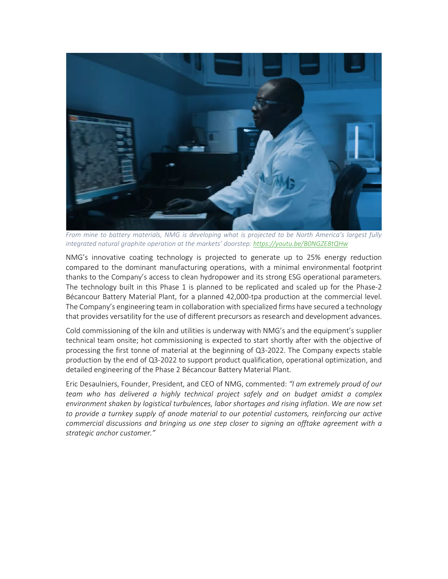

*From mine to battery materials, NMG is developing what is projected to be North America's largest fully integrated natural graphite operation at the markets' doorstep:<https://youtu.be/B0NGZE8tQHw>*

NMG's innovative coating technology is projected to generate up to 25% energy reduction compared to the dominant manufacturing operations, with a minimal environmental footprint thanks to the Company's access to clean hydropower and its strong ESG operational parameters. The technology built in this Phase 1 is planned to be replicated and scaled up for the Phase-2 Bécancour Battery Material Plant, for a planned 42,000-tpa production at the commercial level. The Company's engineering team in collaboration with specialized firms have secured a technology that provides versatility for the use of different precursors as research and development advances.

Cold commissioning of the kiln and utilities is underway with NMG's and the equipment's supplier technical team onsite; hot commissioning is expected to start shortly after with the objective of processing the first tonne of material at the beginning of Q3-2022. The Company expects stable production by the end of Q3-2022 to support product qualification, operational optimization, and detailed engineering of the Phase 2 Bécancour Battery Material Plant.

Eric Desaulniers, Founder, President, and CEO of NMG, commented: *"I am extremely proud of our team who has delivered a highly technical project safely and on budget amidst a complex environment shaken by logistical turbulences, labor shortages and rising inflation. We are now set*  to provide a turnkey supply of anode material to our potential customers, reinforcing our active *commercial discussions and bringing us one step closer to signing an offtake agreement with a strategic anchor customer."*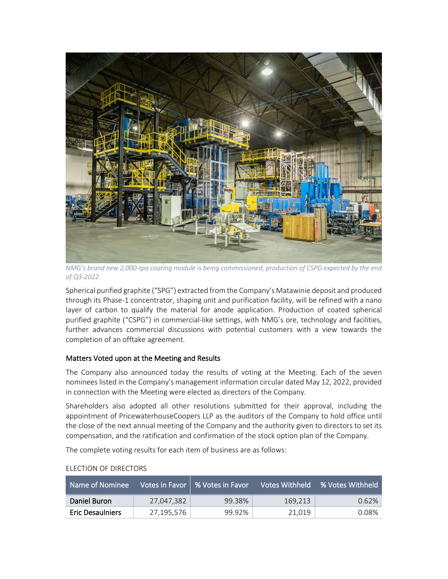

*NMG's brand new 2,000-tpa coating module is being commissioned; production of CSPG expected by the end of Q3-2022.* 

Spherical purified graphite ("SPG") extracted from the Company's Matawinie deposit and produced through its Phase-1 concentrator, shaping unit and purification facility, will be refined with a nano layer of carbon to qualify the material for anode application. Production of coated spherical purified graphite ("CSPG") in commercial-like settings, with NMG's ore, technology and facilities, further advances commercial discussions with potential customers with a view towards the completion of an offtake agreement.

# Matters Voted upon at the Meeting and Results

The Company also announced today the results of voting at the Meeting. Each of the seven nominees listed in the Company's management information circular dated May 12, 2022, provided in connection with the Meeting were elected as directors of the Company.

Shareholders also adopted all other resolutions submitted for their approval, including the appointment of PricewaterhouseCoopers LLP as the auditors of the Company to hold office until the close of the next annual meeting of the Company and the authority given to directors to set its compensation, and the ratification and confirmation of the stock option plan of the Company.

The complete voting results for each item of business are as follows:

| ' Name of Nominee .     |            | Votes in Favor 9% Votes in Favor |         | Votes Withheld % Votes Withheld |
|-------------------------|------------|----------------------------------|---------|---------------------------------|
| Daniel Buron            | 27.047.382 | 99.38%                           | 169.213 | $0.62\%$                        |
| <b>Eric Desaulniers</b> | 27,195,576 | 99.92%                           | 21.019  | 0.08%                           |

#### ELECTION OF DIRECTORS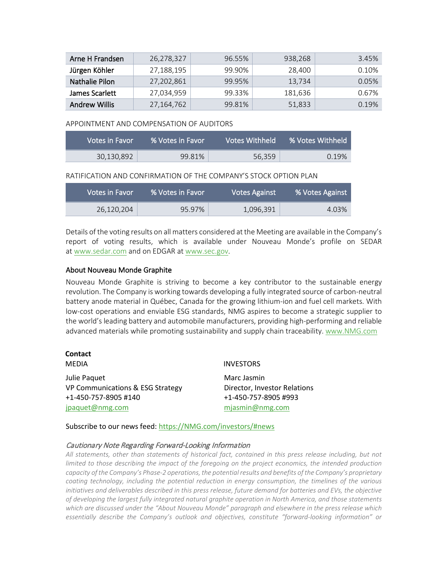| Arne H Frandsen      | 26,278,327 | 96.55% | 938.268 | 3.45% |
|----------------------|------------|--------|---------|-------|
| Jürgen Köhler        | 27,188,195 | 99.90% | 28,400  | 0.10% |
| Nathalie Pilon       | 27,202,861 | 99.95% | 13.734  | 0.05% |
| James Scarlett       | 27,034,959 | 99.33% | 181.636 | 0.67% |
| <b>Andrew Willis</b> | 27,164,762 | 99.81% | 51,833  | 0.19% |

#### APPOINTMENT AND COMPENSATION OF AUDITORS

| Votes in Favor | % Votes in Favor | Votes Withheld | % Votes Withheld |
|----------------|------------------|----------------|------------------|
| 30,130,892     | 99.81%           | 56.359         | 0.19%            |

RATIFICATION AND CONFIRMATION OF THE COMPANY'S STOCK OPTION PLAN

| Votes in Favor | <b>1% Votes in Favor</b> | <b>Votes Against</b> | % Votes Against |
|----------------|--------------------------|----------------------|-----------------|
| 26.120.204     | 95.97%                   | 1,096,391            | 4.03%           |

Details of the voting results on all matters considered at the Meeting are available in the Company's report of voting results, which is available under Nouveau Monde's profile on SEDAR at [www.sedar.com](https://cts.businesswire.com/ct/CT?id=smartlink&url=http%3A%2F%2Fwww.sedar.com&esheet=52447195&newsitemid=20210617005813&lan=en-US&anchor=www.sedar.com&index=1&md5=381a67c6ad6ee29e21ced3ae70a3bd42) and on EDGAR at [www.sec.gov.](https://cts.businesswire.com/ct/CT?id=smartlink&url=http%3A%2F%2Fwww.sec.gov&esheet=52447195&newsitemid=20210617005813&lan=en-US&anchor=www.sec.gov&index=2&md5=99321149a762b0a7b99187d8bdd807ee)

# About Nouveau Monde Graphite

Nouveau Monde Graphite is striving to become a key contributor to the sustainable energy revolution. The Company is working towards developing a fully integrated source of carbon-neutral battery anode material in Québec, Canada for the growing lithium-ion and fuel cell markets. With low-cost operations and enviable ESG standards, NMG aspires to become a strategic supplier to the world's leading battery and automobile manufacturers, providing high-performing and reliable advanced materials while promoting sustainability and supply chain traceability. [www.NMG.com](http://www.nmg.com/) 

# **Contact**

Julie Paquet VP Communications & ESG Strategy +1-450-757-8905 #140 [jpaquet@nmg.com](mailto:jpaquet@nmg.com)

# MEDIA INVESTORS

Marc Jasmin Director, Investor Relations +1-450-757-8905 #993 [mjasmin@nmg.com](mailto:mjasmin@nmg.com)

Subscribe to our news feed: [https://NMG.com/investors/#news](https://nmg.com/investors/#news)

# Cautionary Note Regarding Forward-Looking Information

*All statements, other than statements of historical fact, contained in this press release including, but not limited to those describing the impact of the foregoing on the project economics, the intended production capacity of the Company's Phase-2 operations, the potential results and benefits of the Company's proprietary coating technology, including the potential reduction in energy consumption, the timelines of the various*  initiatives and deliverables described in this press release, future demand for batteries and EVs, the objective *of developing the largest fully integrated natural graphite operation in North America, and those statements which are discussed under the "About Nouveau Monde" paragraph and elsewhere in the press release which essentially describe the Company's outlook and objectives, constitute "forward-looking information" or*